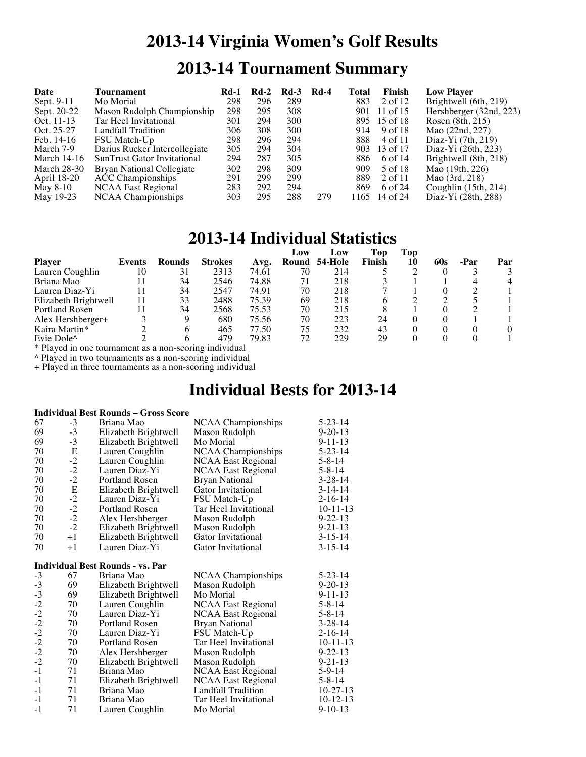# **2013-14 Virginia Women's Golf Results 2013-14 Tournament Summary**

| Date               | Tournament                    | <b>Rd-1</b> | $Rd-2$ | $Rd-3$ | <b>Rd-4</b> | Total | Finish       | <b>Low Player</b>       |
|--------------------|-------------------------------|-------------|--------|--------|-------------|-------|--------------|-------------------------|
| Sept. 9-11         | Mo Morial                     | 298         | 296    | 289    |             | 883   | 2 of 12      | Brightwell (6th, 219)   |
| Sept. 20-22        | Mason Rudolph Championship    | 298         | 295    | 308    |             | 901   | 11 of 15     | Hershberger (32nd, 223) |
| Oct. 11-13         | Tar Heel Invitational         | 301         | 294    | 300    |             |       | 895 15 of 18 | Rosen (8th, 215)        |
| Oct. 25-27         | Landfall Tradition            | 306         | 308    | 300    |             | 914   | 9 of 18      | Mao (22nd, 227)         |
| Feb. 14-16         | FSU Match-Up                  | 298         | 296    | 294    |             | 888   | 4 of 11      | Diaz-Yi $(7th, 219)$    |
| March 7-9          | Darius Rucker Intercollegiate | 305         | 294    | 304    |             | 903   | 13 of 17     | Diaz-Yi (26th, 223)     |
| March $14-16$      | SunTrust Gator Invitational   | 294         | 287    | 305    |             | 886   | 6 of 14      | Brightwell (8th, 218)   |
| <b>March 28-30</b> | Bryan National Collegiate     | 302         | 298    | 309    |             | 909   | 5 of 18      | Mao (19th, 226)         |
| April 18-20        | <b>ACC</b> Championships      | 291         | 299    | 299    |             | 889   | 2 of 11      | Mao $(3rd, 218)$        |
| May 8-10           | <b>NCAA East Regional</b>     | 283         | 292    | 294    |             | 869   | 6 of 24      | Coughlin $(15th, 214)$  |
| May 19-23          | NCAA Championships            | 303         | 295    | 288    | 279         | 1165  | 14 of 24     | Diaz-Yi (28th, 288)     |

### **2013-14 Individual Statistics**

|                                          |        |        |                |       | Low   | Low     | Top    | Top |     |      |     |
|------------------------------------------|--------|--------|----------------|-------|-------|---------|--------|-----|-----|------|-----|
| <b>Player</b>                            | Events | Rounds | <b>Strokes</b> | Avg.  | Round | 54-Hole | Finish | 10  | 60s | -Par | Par |
| Lauren Coughlin                          | 10     | 31     | 2313           | 74.61 | 70    | 214     |        |     |     |      |     |
| Briana Mao                               |        | 34     | 2546           | 74.88 | 71    | 218     |        |     |     |      |     |
| Lauren Diaz-Yi                           |        | 34     | 2547           | 74.91 | 70    | 218     |        |     |     |      |     |
| Elizabeth Brightwell                     |        | 33     | 2488           | 75.39 | 69    | 218     |        |     |     |      |     |
| <b>Portland Rosen</b>                    |        | 34     | 2568           | 75.53 | 70    | 215     |        |     |     |      |     |
| Alex Hershberger+                        |        | 9      | 680            | 75.56 | 70    | 223     | 24     |     |     |      |     |
| Kaira Martin*                            |        | 6      | 465            | 77.50 | 75    | 232     | 43     |     |     |      |     |
| Evie Dole <sup><math>\wedge</math></sup> |        |        | 479            | 79.83 | 72    | 229     | 29     |     |     |      |     |

\* Played in one tournament as a non-scoring individual

^ Played in two tournaments as a non-scoring individual

+ Played in three tournaments as a non-scoring individual

## **Individual Bests for 2013-14**

### **Individual Best Rounds – Gross Score**

| 67           | $-3$      | Briana Mao                              | <b>NCAA Championships</b>                   | $5 - 23 - 14$            |
|--------------|-----------|-----------------------------------------|---------------------------------------------|--------------------------|
| 69           | $-3$      | Elizabeth Brightwell                    | Mason Rudolph                               | $9 - 20 - 13$            |
| 69           | $-3$      | Elizabeth Brightwell                    | Mo Morial                                   | $9 - 11 - 13$            |
| 70           | ${\bf E}$ | Lauren Coughlin                         | NCAA Championships                          | $5 - 23 - 14$            |
| 70           | $-2$      | Lauren Coughlin                         | NCAA East Regional                          | $5 - 8 - 14$             |
| 70           | $-2$      | Lauren Diaz-Yi                          | <b>NCAA East Regional</b>                   | $5 - 8 - 14$             |
| 70           | $-2$      | Portland Rosen                          | <b>Bryan National</b>                       | $3 - 28 - 14$            |
| 70           | ${\bf E}$ | Elizabeth Brightwell                    | <b>Gator Invitational</b>                   | $3-14-14$                |
| 70           | $-2$      | Lauren Diaz-Yi                          | FSU Match-Up                                | $2 - 16 - 14$            |
| 70           | $-2$      | <b>Portland Rosen</b>                   | Tar Heel Invitational                       | $10-11-13$               |
| 70           | $-2$      | Alex Hershberger                        | Mason Rudolph                               | $9 - 22 - 13$            |
| 70           | $-2$      | Elizabeth Brightwell                    | Mason Rudolph                               | $9 - 21 - 13$            |
| 70           | $+1$      | Elizabeth Brightwell                    | Gator Invitational                          | $3 - 15 - 14$            |
| 70           | $+1$      | Lauren Diaz-Yi                          | Gator Invitational                          | $3 - 15 - 14$            |
|              |           | <b>Individual Best Rounds - vs. Par</b> |                                             |                          |
| $-3$         | 67        | Briana Mao                              | <b>NCAA Championships</b>                   | $5 - 23 - 14$            |
| $-3$         | 69        | Elizabeth Brightwell                    | Mason Rudolph                               | $9 - 20 - 13$            |
| $-3$         | 69        | Elizabeth Brightwell                    | Mo Morial                                   | $9 - 11 - 13$            |
| $-2$         | 70        | Lauren Coughlin                         | <b>NCAA East Regional</b>                   | $5 - 8 - 14$             |
| $-2$         | 70        | Lauren Diaz-Yi                          | NCAA East Regional                          | $5 - 8 - 14$             |
| $-2$         |           |                                         |                                             |                          |
|              |           |                                         |                                             |                          |
|              | 70        | Portland Rosen                          | <b>Bryan National</b>                       | $3 - 28 - 14$            |
| $-2$         | 70        | Lauren Diaz-Yi                          | FSU Match-Up                                | $2 - 16 - 14$            |
| $-2$         | 70        | <b>Portland Rosen</b>                   | Tar Heel Invitational                       | $10-11-13$               |
| $-2$         | 70        | Alex Hershberger                        | Mason Rudolph                               | $9 - 22 - 13$            |
| $-2$         | 70        | Elizabeth Brightwell                    | Mason Rudolph                               | $9 - 21 - 13$            |
| $-1$         | 71        | Briana Mao                              | <b>NCAA East Regional</b>                   | $5-9-14$                 |
| $-1$         | 71        | Elizabeth Brightwell                    | <b>NCAA East Regional</b>                   | $5 - 8 - 14$             |
| $-1$<br>$-1$ | 71<br>71  | Briana Mao<br>Briana Mao                | Landfall Tradition<br>Tar Heel Invitational | $10-27-13$<br>$10-12-13$ |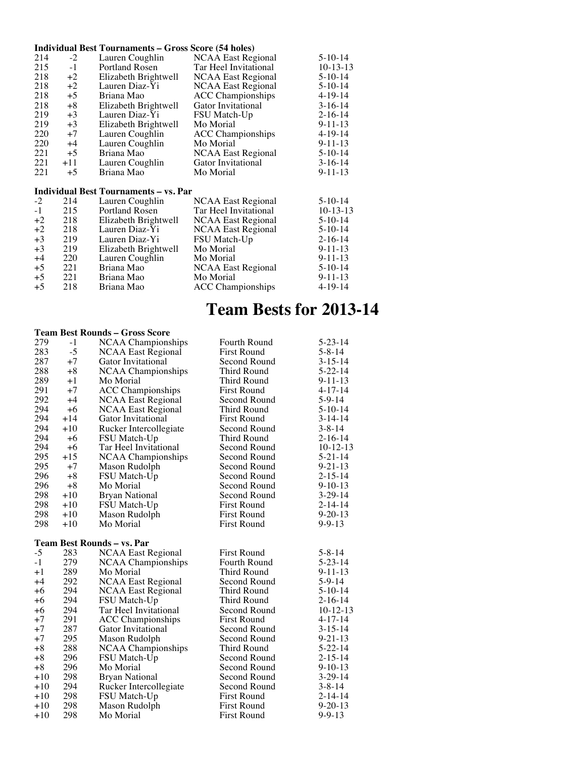### **Individual Best Tournaments – Gross Score (54 holes)**

| 214 | $-2$  | Lauren Coughlin       | <b>NCAA East Regional</b> | $5-10-14$     |
|-----|-------|-----------------------|---------------------------|---------------|
| 215 | $-1$  | <b>Portland Rosen</b> | Tar Heel Invitational     | $10-13-13$    |
| 218 | $+2$  | Elizabeth Brightwell  | <b>NCAA East Regional</b> | $5-10-14$     |
| 218 | $+2$  | Lauren Diaz-Yi        | <b>NCAA East Regional</b> | $5-10-14$     |
| 218 | $+5$  | Briana Mao            | <b>ACC</b> Championships  | $4 - 19 - 14$ |
| 218 | $+8$  | Elizabeth Brightwell  | <b>Gator Invitational</b> | $3-16-14$     |
| 219 | $+3$  | Lauren Diaz-Yi        | <b>FSU Match-Up</b>       | $2 - 16 - 14$ |
| 219 | $+3$  | Elizabeth Brightwell  | Mo Morial                 | $9 - 11 - 13$ |
| 220 | $+7$  | Lauren Coughlin       | <b>ACC</b> Championships  | $4 - 19 - 14$ |
| 220 | $+4$  | Lauren Coughlin       | Mo Morial                 | $9 - 11 - 13$ |
| 221 | $+5$  | Briana Mao            | <b>NCAA East Regional</b> | $5-10-14$     |
| 221 | $+11$ | Lauren Coughlin       | Gator Invitational        | $3-16-14$     |
| 221 | $+5$  | Briana Mao            | Mo Morial                 | $9 - 11 - 13$ |
|     |       |                       |                           |               |

### **Individual Best Tournaments – vs. Par**

| $-2$ | 214 | Lauren Coughlin       | <b>NCAA East Regional</b> | $5-10-14$     |
|------|-----|-----------------------|---------------------------|---------------|
| $-1$ | 215 | <b>Portland Rosen</b> | Tar Heel Invitational     | $10-13-13$    |
| $+2$ | 218 | Elizabeth Brightwell  | <b>NCAA East Regional</b> | $5-10-14$     |
| $+2$ | 218 | Lauren Diaz-Yi        | NCAA East Regional        | $5-10-14$     |
| $+3$ | 219 | Lauren Diaz-Yi        | <b>FSU Match-Up</b>       | $2 - 16 - 14$ |
| $+3$ | 219 | Elizabeth Brightwell  | Mo Morial                 | $9 - 11 - 13$ |
| $+4$ | 220 | Lauren Coughlin       | Mo Morial                 | $9 - 11 - 13$ |
| $+5$ | 221 | Briana Mao            | <b>NCAA East Regional</b> | $5-10-14$     |
| $+5$ | 221 | Briana Mao            | Mo Morial                 | $9 - 11 - 13$ |
| $+5$ | 218 | Briana Mao            | <b>ACC</b> Championships  | $4 - 19 - 14$ |

## **Team Bests for 2013-14**

#### **Team Best Rounds – Gross Score**

| 279            | $-1$       | <b>NCAA Championships</b>         | Fourth Round                             | $5 - 23 - 14$                 |
|----------------|------------|-----------------------------------|------------------------------------------|-------------------------------|
| 283            | $-5$       | <b>NCAA East Regional</b>         | <b>First Round</b>                       | $5 - 8 - 14$                  |
| 287            | $+7$       | Gator Invitational                | Second Round                             | $3 - 15 - 14$                 |
| 288            | $+8$       | <b>NCAA Championships</b>         | Third Round                              | $5 - 22 - 14$                 |
| 289            | $+1$       | Mo Morial                         | Third Round                              | $9 - 11 - 13$                 |
| 291            | $+7$       | <b>ACC</b> Championships          | <b>First Round</b>                       | $4 - 17 - 14$                 |
| 292            | $+4$       | <b>NCAA East Regional</b>         | Second Round                             | $5 - 9 - 14$                  |
| 294            | $+6$       | <b>NCAA East Regional</b>         | Third Round                              | $5-10-14$                     |
| 294            | $+14$      | Gator Invitational                | <b>First Round</b>                       | $3-14-14$                     |
| 294            | $+10$      | Rucker Intercollegiate            | Second Round                             | $3 - 8 - 14$                  |
| 294            | $+6$       | FSU Match-Up                      | Third Round                              | 2-16-14                       |
| 294            | $+6$       | Tar Heel Invitational             | Second Round                             | $10-12-13$                    |
| 295            | $+15$      | <b>NCAA Championships</b>         | Second Round                             | $5 - 21 - 14$                 |
| 295            | $+7$       | Mason Rudolph                     | Second Round                             | $9 - 21 - 13$                 |
| 296            | $+8$       | FSU Match-Up                      | Second Round                             | $2 - 15 - 14$                 |
| 296            | $+8$       | Mo Morial                         | Second Round                             | $9-10-13$                     |
| 298            | $+10$      | <b>Bryan National</b>             | Second Round                             | $3-29-14$                     |
| 298            | $+10$      | FSU Match-Up                      | <b>First Round</b>                       | $2 - 14 - 14$                 |
| 298            | $+10$      | Mason Rudolph                     | <b>First Round</b>                       | $9 - 20 - 13$                 |
| 298            | $+10$      | Mo Morial                         | <b>First Round</b>                       | $9 - 9 - 13$                  |
|                |            |                                   |                                          |                               |
|                |            |                                   |                                          |                               |
|                |            | <b>Team Best Rounds - vs. Par</b> |                                          |                               |
| $-5$           | 283        | <b>NCAA East Regional</b>         | <b>First Round</b>                       | $5 - 8 - 14$                  |
| $-1$           | 279        | <b>NCAA Championships</b>         | <b>Fourth Round</b>                      | $5 - 23 - 14$                 |
| $+1$           | 289        | Mo Morial                         | <b>Third Round</b>                       | $9 - 11 - 13$                 |
| $+4$           | 292        | <b>NCAA East Regional</b>         | Second Round                             | $5 - 9 - 14$                  |
| $+6$           | 294        | <b>NCAA East Regional</b>         | Third Round                              | $5-10-14$                     |
| $+6$           | 294        | FSU Match-Up                      | <b>Third Round</b>                       | $2 - 16 - 14$                 |
| $+6$           | 294        | Tar Heel Invitational             | Second Round                             | $10-12-13$                    |
| $+7$           | 291        | <b>ACC</b> Championships          | <b>First Round</b>                       | 4-17-14                       |
| $+7$           | 287        | Gator Invitational                | Second Round                             | $3 - 15 - 14$                 |
| $+7$           | 295        | Mason Rudolph                     | Second Round                             | $9 - 21 - 13$                 |
| $+8$           | 288        | NCAA Championships                | Third Round                              | $5 - 22 - 14$                 |
| $+8$           | 296        | FSU Match-Up                      | Second Round                             | $2 - 15 - 14$                 |
| $+8$           | 296        | Mo Morial                         | Second Round                             | $9-10-13$                     |
| $+10$          | 298        | Bryan National                    | Second Round                             | $3-29-14$                     |
| $+10$          | 294        | Rucker Intercollegiate            | Second Round                             | $3 - 8 - 14$                  |
| $+10$          | 298        | FSU Match-Up                      | <b>First Round</b>                       | $2 - 14 - 14$                 |
| $+10$<br>$+10$ | 298<br>298 | Mason Rudolph<br>Mo Morial        | <b>First Round</b><br><b>First Round</b> | $9 - 20 - 13$<br>$9 - 9 - 13$ |